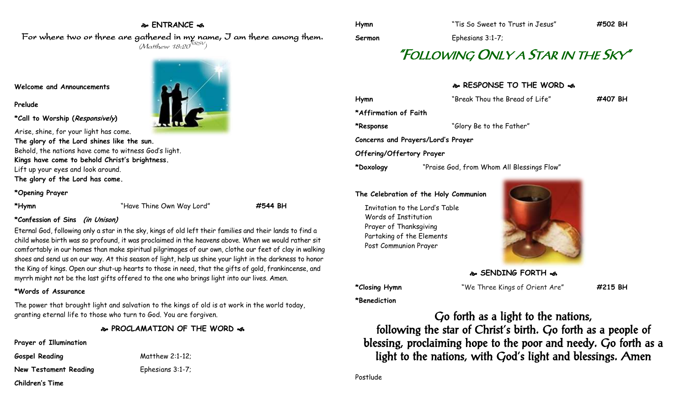## **ENTRANCE**

For where two or three are gathered in my name, I am there among them.  $(M$ atthew 18:20 $^{NRSV})$ 

#### **Welcome and Announcements**

**Prelude**

**\*Call to Worship (Responsively)** 

Arise, shine, for your light has come.

**The glory of the Lord shines like the sun.** Behold, the nations have come to witness God's light. **Kings have come to behold Christ's brightness.** Lift up your eyes and look around.

**The glory of the Lord has come.**

## **\*Opening Prayer**

**\*Hymn** "Have Thine Own Way Lord" **#544 BH**

### **\*Confession of Sins (in Unison)**

Eternal God, following only a star in the sky, kings of old left their families and their lands to find a child whose birth was so profound, it was proclaimed in the heavens above. When we would rather sit comfortably in our homes than make spiritual pilgrimages of our own, clothe our feet of clay in walking shoes and send us on our way. At this season of light, help us shine your light in the darkness to honor the King of kings. Open our shut-up hearts to those in need, that the gifts of gold, frankincense, and myrrh might not be the last gifts offered to the one who brings light into our lives. Amen.

### **\*Words of Assurance**

The power that brought light and salvation to the kings of old is at work in the world today, granting eternal life to those who turn to God. You are forgiven.

**PROCLAMATION OF THE WORD** 

**Prayer of Illumination**

**Gospel Reading** Matthew 2:1-12;

**New Testament Reading** Ephesians 3:1-7;

**Children's Time**



**Sermon** Ephesians 3:1-7;

# "FOLLOWING ONLY A STAR IN THE SKY"

### **RESPONSE TO THE WORD**

| Hymn                               | "Break Thou the Bread of Life"             | #407 BH |
|------------------------------------|--------------------------------------------|---------|
| *Affirmation of Faith              |                                            |         |
| *Response                          | "Glory Be to the Father"                   |         |
| Concerns and Prayers/Lord's Prayer |                                            |         |
| Offering/Offertory Prayer          |                                            |         |
| *Doxology                          | "Praise God, from Whom All Blessings Flow" |         |

### **The Celebration of the Holy Communion**

Invitation to the Lord's Table Words of Institution Prayer of Thanksgiving Partaking of the Elements Post Communion Prayer



**SENDING FORTH** 

**\*Closing Hymn** "We Three Kings of Orient Are" **#215 BH**

**\*Benediction**

Go forth as a light to the nations, following the star of Christ's birth. Go forth as a people of blessing, proclaiming hope to the poor and needy. Go forth as a light to the nations, with God's light and blessings. Amen

**Hymn** "Tis So Sweet to Trust in Jesus" **#502 BH**